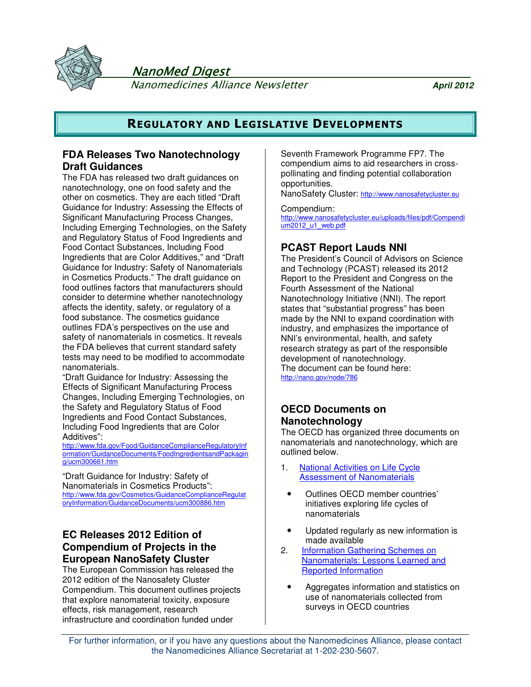



 NanoMed Digest Nanomedicines Alliance Newsletter **April 2012**

## **REGULATORY AND LEGISLATIVE DEVELOPMENTS**

## **FDA Releases Two Nanotechnology Draft Guidances**

The FDA has released two draft guidances on nanotechnology, one on food safety and the other on cosmetics. They are each titled "Draft Guidance for Industry: Assessing the Effects of Significant Manufacturing Process Changes, Including Emerging Technologies, on the Safety and Regulatory Status of Food Ingredients and Food Contact Substances, Including Food Ingredients that are Color Additives," and "Draft Guidance for Industry: Safety of Nanomaterials in Cosmetics Products." The draft guidance on food outlines factors that manufacturers should consider to determine whether nanotechnology affects the identity, safety, or regulatory of a food substance. The cosmetics guidance outlines FDA's perspectives on the use and safety of nanomaterials in cosmetics. It reveals the FDA believes that current standard safety tests may need to be modified to accommodate nanomaterials.

"Draft Guidance for Industry: Assessing the Effects of Significant Manufacturing Process Changes, Including Emerging Technologies, on the Safety and Regulatory Status of Food Ingredients and Food Contact Substances, Including Food Ingredients that are Color Additives":

http://www.fda.gov/Food/GuidanceComplianceRegulatoryInf ormation/GuidanceDocuments/FoodIngredientsandPackagin g/ucm300661.htm

"Draft Guidance for Industry: Safety of Nanomaterials in Cosmetics Products": http://www.fda.gov/Cosmetics/GuidanceComplianceRegulat oryInformation/GuidanceDocuments/ucm300886.htm

## **EC Releases 2012 Edition of Compendium of Projects in the European NanoSafety Cluster**

The European Commission has released the 2012 edition of the Nanosafety Cluster Compendium. This document outlines projects that explore nanomaterial toxicity, exposure effects, risk management, research infrastructure and coordination funded under

Seventh Framework Programme FP7. The compendium aims to aid researchers in crosspollinating and finding potential collaboration opportunities.

NanoSafety Cluster: http://www.nanosafetycluster.eu

Compendium:

http://www.nanosafetycluster.eu/uploads/files/pdf/Compendi um2012\_u1\_web.pdf

## **PCAST Report Lauds NNI**

The President's Council of Advisors on Science and Technology (PCAST) released its 2012 Report to the President and Congress on the Fourth Assessment of the National Nanotechnology Initiative (NNI). The report states that "substantial progress" has been made by the NNI to expand coordination with industry, and emphasizes the importance of NNI's environmental, health, and safety research strategy as part of the responsible development of nanotechnology. The document can be found here: http://nano.gov/node/786

## **OECD Documents on Nanotechnology**

The OECD has organized three documents on nanomaterials and nanotechnology, which are outlined below.

- 1. National Activities on Life Cycle Assessment of Nanomaterials
- Outlines OECD member countries' initiatives exploring life cycles of nanomaterials
- Updated regularly as new information is made available
- 2. **Information Gathering Schemes on** Nanomaterials: Lessons Learned and Reported Information
	- Aggregates information and statistics on use of nanomaterials collected from surveys in OECD countries

For further information, or if you have any questions about the Nanomedicines Alliance, please contact the Nanomedicines Alliance Secretariat at 1-202-230-5607.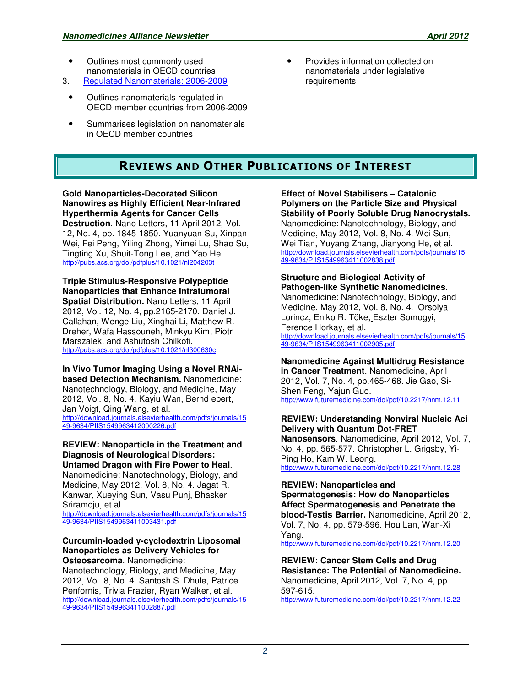- Outlines most commonly used nanomaterials in OECD countries
- 3. Regulated Nanomaterials: 2006-2009
	- Outlines nanomaterials regulated in OECD member countries from 2006-2009
	- Summarises legislation on nanomaterials in OECD member countries
- Provides information collected on nanomaterials under legislative requirements

## **REVIEWS AND OTHER PUBLICATIONS OF INTEREST**

**Gold Nanoparticles-Decorated Silicon Nanowires as Highly Efficient Near-Infrared Hyperthermia Agents for Cancer Cells Destruction**. Nano Letters, 11 April 2012, Vol. 12, No. 4, pp. 1845-1850. Yuanyuan Su, Xinpan Wei, Fei Peng, Yiling Zhong, Yimei Lu, Shao Su, Tingting Xu, Shuit-Tong Lee, and Yao He. http://pubs.acs.org/doi/pdfplus/10.1021/nl204203t

**Triple Stimulus-Responsive Polypeptide Nanoparticles that Enhance Intratumoral Spatial Distribution.** Nano Letters, 11 April 2012, Vol. 12, No. 4, pp.2165-2170. Daniel J. Callahan, Wenge Liu, Xinghai Li, Matthew R. Dreher, Wafa Hassouneh, Minkyu Kim, Piotr Marszalek, and Ashutosh Chilkoti. http://pubs.acs.org/doi/pdfplus/10.1021/nl300630c

**In Vivo Tumor Imaging Using a Novel RNAibased Detection Mechanism.** Nanomedicine: Nanotechnology, Biology, and Medicine, May 2012, Vol. 8, No. 4. Kayiu Wan, Bernd ebert, Jan Voigt, Qing Wang, et al. http://download.journals.elsevierhealth.com/pdfs/journals/15 49-9634/PIIS1549963412000226.pdf

**REVIEW: Nanoparticle in the Treatment and Diagnosis of Neurological Disorders: Untamed Dragon with Fire Power to Heal**.

Nanomedicine: Nanotechnology, Biology, and Medicine, May 2012, Vol. 8, No. 4. Jagat R. Kanwar, Xueying Sun, Vasu Punj, Bhasker Sriramoju, et al. http://download.journals.elsevierhealth.com/pdfs/journals/15

49-9634/PIIS1549963411003431.pdf

### **Curcumin-loaded y-cyclodextrin Liposomal Nanoparticles as Delivery Vehicles for Osteosarcoma**. Nanomedicine:

Nanotechnology, Biology, and Medicine, May 2012, Vol. 8, No. 4. Santosh S. Dhule, Patrice Penfornis, Trivia Frazier, Ryan Walker, et al. http://download.journals.elsevierhealth.com/pdfs/journals/15 49-9634/PIIS1549963411002887.pdf

**Effect of Novel Stabilisers – Catalonic Polymers on the Particle Size and Physical Stability of Poorly Soluble Drug Nanocrystals.** Nanomedicine: Nanotechnology, Biology, and Medicine, May 2012, Vol. 8, No. 4. Wei Sun, Wei Tian, Yuyang Zhang, Jianyong He, et al. http://download.journals.elsevierhealth.com/pdfs/journals/15 49-9634/PIIS1549963411002838.pdf

**Structure and Biological Activity of Pathogen-like Synthetic Nanomedicines**. Nanomedicine: Nanotechnology, Biology, and Medicine, May 2012, Vol. 8, No. 4. Orsolya Lorincz, Eniko R. Töke, Eszter Somogyi, Ference Horkay, et al. http://download.journals.elsevierhealth.com/pdfs/journals/15 49-9634/PIIS1549963411002905.pdf

**Nanomedicine Against Multidrug Resistance in Cancer Treatment**. Nanomedicine, April 2012, Vol. 7, No. 4, pp.465-468. Jie Gao, Si-Shen Feng, Yajun Guo. http://www.futuremedicine.com/doi/pdf/10.2217/nnm.12.11

**REVIEW: Understanding Nonviral Nucleic Aci Delivery with Quantum Dot-FRET Nanosensors**. Nanomedicine, April 2012, Vol. 7, No. 4, pp. 565-577. Christopher L. Grigsby, Yi-Ping Ho, Kam W. Leong. http://www.futuremedicine.com/doi/pdf/10.2217/nnm.12.28

**REVIEW: Nanoparticles and Spermatogenesis: How do Nanoparticles Affect Spermatogenesis and Penetrate the blood-Testis Barrier.** Nanomedicine, April 2012, Vol. 7, No. 4, pp. 579-596. Hou Lan, Wan-Xi Yang.

http://www.futuremedicine.com/doi/pdf/10.2217/nnm.12.20

**REVIEW: Cancer Stem Cells and Drug Resistance: The Potential of Nanomedicine.**  Nanomedicine, April 2012, Vol. 7, No. 4, pp. 597-615.

http://www.futuremedicine.com/doi/pdf/10.2217/nnm.12.22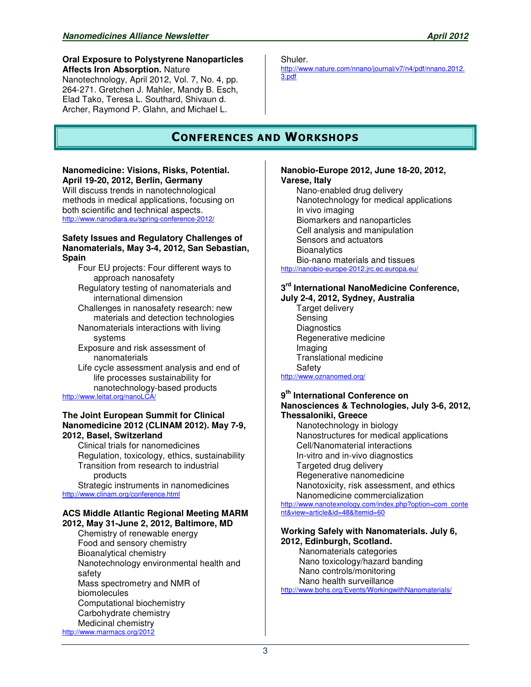### **Oral Exposure to Polystyrene Nanoparticles Affects Iron Absorption.** Nature Nanotechnology, April 2012, Vol. 7, No. 4, pp.

264-271. Gretchen J. Mahler, Mandy B. Esch, Elad Tako, Teresa L. Southard, Shivaun d. Archer, Raymond P. Glahn, and Michael L.

# **CONFERENCES AND WORKSHOPS**

### **Nanomedicine: Visions, Risks, Potential. April 19-20, 2012, Berlin, Germany**

Will discuss trends in nanotechnological methods in medical applications, focusing on both scientific and technical aspects. http://www.nanodiara.eu/spring-conference-2012/

### **Safety Issues and Regulatory Challenges of Nanomaterials, May 3-4, 2012, San Sebastian, Spain**

Four EU projects: Four different ways to approach nanosafety Regulatory testing of nanomaterials and international dimension Challenges in nanosafety research: new materials and detection technologies Nanomaterials interactions with living systems

Exposure and risk assessment of nanomaterials

Life cycle assessment analysis and end of life processes sustainability for nanotechnology-based products

http://www.leitat.org/nanoLC/

### **The Joint European Summit for Clinical Nanomedicine 2012 (CLINAM 2012). May 7-9, 2012, Basel, Switzerland**

Clinical trials for nanomedicines Regulation, toxicology, ethics, sustainability Transition from research to industrial products

Strategic instruments in nanomedicines http://www.clinam.org/conference.html

### **ACS Middle Atlantic Regional Meeting MARM 2012, May 31-June 2, 2012, Baltimore, MD**

Chemistry of renewable energy Food and sensory chemistry Bioanalytical chemistry Nanotechnology environmental health and safety Mass spectrometry and NMR of biomolecules Computational biochemistry Carbohydrate chemistry Medicinal chemistry http://www.marmacs.org/2012

Shuler.

http://www.nature.com/nnano/journal/v7/n4/pdf/nnano.2012. 3.pdf

### **Nanobio-Europe 2012, June 18-20, 2012, Varese, Italy**

Nano-enabled drug delivery Nanotechnology for medical applications In vivo imaging Biomarkers and nanoparticles Cell analysis and manipulation Sensors and actuators **Bioanalytics** Bio-nano materials and tissues http://nanobio-europe-2012.jrc.ec.europa.eu/

## **3 rd International NanoMedicine Conference,**

**July 2-4, 2012, Sydney, Australia** Target delivery Sensing **Diagnostics** Regenerative medicine Imaging Translational medicine Safety http://www.oznanomed.org/

# **9 th International Conference on**

### **Nanosciences & Technologies, July 3-6, 2012, Thessaloniki, Greece**

Nanotechnology in biology Nanostructures for medical applications Cell/Nanomaterial interactions In-vitro and in-vivo diagnostics Targeted drug delivery Regenerative nanomedicine Nanotoxicity, risk assessment, and ethics Nanomedicine commercialization http://www.nanotexnology.com/index.php?option=com\_conte

nt&view=article&id=48&Itemid=60

## **Working Safely with Nanomaterials. July 6,**

**2012, Edinburgh, Scotland.**  Nanomaterials categories Nano toxicology/hazard banding Nano controls/monitoring Nano health surveillance http://www.bohs.org/Events/WorkingwithNanomaterials/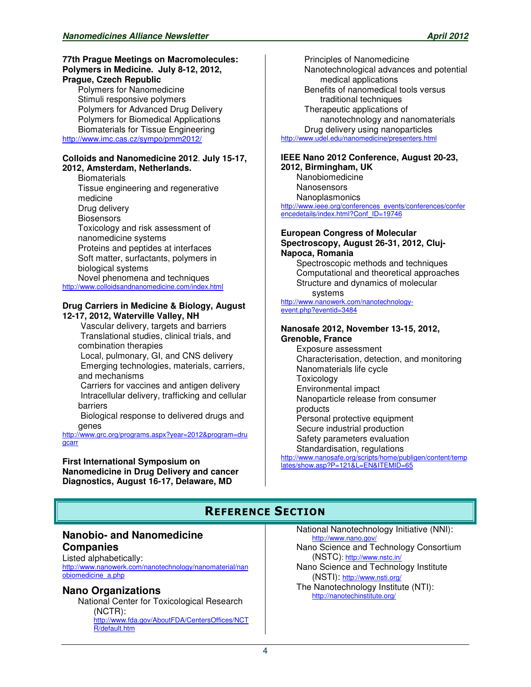### **77th Prague Meetings on Macromolecules: Polymers in Medicine. July 8-12, 2012, Prague, Czech Republic**

Polymers for Nanomedicine Stimuli responsive polymers Polymers for Advanced Drug Delivery Polymers for Biomedical Applications Biomaterials for Tissue Engineering http://www.imc.cas.cz/sympo/pmm2012/

#### **Colloids and Nanomedicine 2012**. **July 15-17, 2012, Amsterdam, Netherlands.**

**Biomaterials** Tissue engineering and regenerative medicine Drug delivery **Biosensors** Toxicology and risk assessment of nanomedicine systems Proteins and peptides at interfaces Soft matter, surfactants, polymers in biological systems Novel phenomena and techniques

http://www.colloidsandnanomedicine.com/index.html

### **Drug Carriers in Medicine & Biology, August 12-17, 2012, Waterville Valley, NH**

 Vascular delivery, targets and barriers Translational studies, clinical trials, and combination therapies

 Local, pulmonary, GI, and CNS delivery Emerging technologies, materials, carriers, and mechanisms

 Carriers for vaccines and antigen delivery Intracellular delivery, trafficking and cellular barriers

 Biological response to delivered drugs and genes

http://www.grc.org/programs.aspx?year=2012&program=dru gcarr

**First International Symposium on Nanomedicine in Drug Delivery and cancer Diagnostics, August 16-17, Delaware, MD**

Principles of Nanomedicine Nanotechnological advances and potential medical applications Benefits of nanomedical tools versus traditional techniques Therapeutic applications of nanotechnology and nanomaterials Drug delivery using nanoparticles http://www.udel.edu/nanomedicine/presenters.html

**IEEE Nano 2012 Conference, August 20-23, 2012, Birmingham, UK** Nanobiomedicine

Nanosensors **Nanoplasmonics** 

http://www.ieee.org/conferences\_events/conferences/confer encedetails/index.html?Conf\_ID=19746

### **European Congress of Molecular Spectroscopy, August 26-31, 2012, Cluj-Napoca, Romania**

Spectroscopic methods and techniques Computational and theoretical approaches Structure and dynamics of molecular systems

http://www.nanowerk.com/nanotechnologyevent.php?eventid=3484

### **Nanosafe 2012, November 13-15, 2012, Grenoble, France**

Exposure assessment Characterisation, detection, and monitoring Nanomaterials life cycle **Toxicology** Environmental impact Nanoparticle release from consumer products Personal protective equipment Secure industrial production Safety parameters evaluation Standardisation, regulations

http://www.nanosafe.org/scripts/home/publigen/content/temp lates/show.asp?P=121&L=EN&ITEMID=65

## **REFERENCE SECTION**

## **Nanobio- and Nanomedicine Companies**

Listed alphabetically: http://www.nanowerk.com/nanotechnology/nanomaterial/nan obiomedicine\_a.php

## **Nano Organizations**

National Center for Toxicological Research (NCTR): http://www.fda.gov/AboutFDA/CentersOffices/NCT R/default.htm

National Nanotechnology Initiative (NNI): http://www.nano.gov/

Nano Science and Technology Consortium (NSTC): http://www.nstc.in/

Nano Science and Technology Institute (NSTI): http://www.nsti.org/

The Nanotechnology Institute (NTI): http://nanotechinstitute.org/